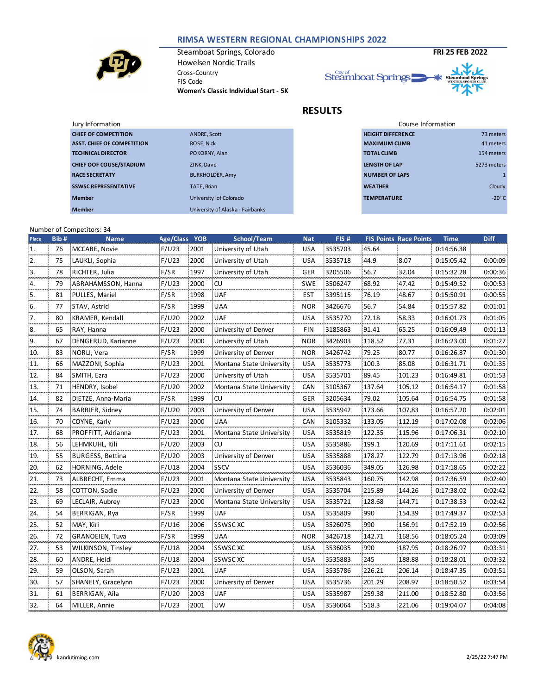## **RIMSA WESTERN REGIONAL CHAMPIONSHIPS 2022**



Steamboat Springs, Colorado **FRI 25 FEB 2022** Howelsen Nordic Trails Cross-Country FIS Code **Women's Classic Individual Start - 5K**



**RESULTS**

|                                  | Course Information       |               |
|----------------------------------|--------------------------|---------------|
| ANDRE, Scott                     | <b>HEIGHT DIFFERENCE</b> | 73 meters     |
| ROSE, Nick                       | <b>MAXIMUM CLIMB</b>     | 41 meters     |
| POKORNY, Alan                    | <b>TOTAL CLIMB</b>       | 154 meters    |
| ZINK, Dave                       | <b>LENGTH OF LAP</b>     | 5273 meters   |
| <b>BURKHOLDER, Amy</b>           | <b>NUMBER OF LAPS</b>    |               |
| TATE, Brian                      | <b>WEATHER</b>           | Cloudy        |
| University iof Colorado          | <b>TEMPERATURE</b>       | $-20^\circ$ C |
| University of Alaska - Fairbanks |                          |               |
|                                  |                          |               |

## Number of Competitors: 34

**Member**

| Place | Bib# | <b>Name</b>               | Age/Class YOB |      | School/Team              | <b>Nat</b> | FIS#    |        | <b>FIS Points Race Points</b> | <b>Time</b> | <b>Diff</b> |
|-------|------|---------------------------|---------------|------|--------------------------|------------|---------|--------|-------------------------------|-------------|-------------|
| 1.    | 76   | MCCABE, Novie             | F/U23         | 2001 | University of Utah       | <b>USA</b> | 3535703 | 45.64  |                               | 0:14:56.38  |             |
| 2.    | 75   | LAUKLI, Sophia            | F/U23         | 2000 | University of Utah       | <b>USA</b> | 3535718 | 44.9   | 8.07                          | 0:15:05.42  | 0:00:09     |
| 3.    | 78   | RICHTER, Julia            | F/SR          | 1997 | University of Utah       | GER        | 3205506 | 56.7   | 32.04                         | 0:15:32.28  | 0:00:36     |
| 4.    | 79   | ABRAHAMSSON, Hanna        | F/U23         | 2000 | -CU                      | <b>SWE</b> | 3506247 | 68.92  | 47.42                         | 0:15:49.52  | 0:00:53     |
| 5.    | 81   | PULLES, Mariel            | F/SR          | 1998 | <b>UAF</b>               | EST        | 3395115 | 76.19  | 48.67                         | 0:15:50.91  | 0:00:55     |
| 6.    | 77   | STAV, Astrid              | F/SR          | 1999 | <b>UAA</b>               | <b>NOR</b> | 3426676 | 56.7   | 54.84                         | 0:15:57.82  | 0:01:01     |
| 7.    | 80   | KRAMER, Kendall           | F/U20         | 2002 | <b>UAF</b>               | <b>USA</b> | 3535770 | 72.18  | 58.33                         | 0:16:01.73  | 0:01:05     |
| 8.    | 65   | RAY, Hanna                | F/U23         | 2000 | University of Denver     | FIN        | 3185863 | 91.41  | 65.25                         | 0:16:09.49  | 0:01:13     |
| 9.    | 67   | DENGERUD, Karianne        | F/U23         | 2000 | University of Utah       | <b>NOR</b> | 3426903 | 118.52 | 77.31                         | 0:16:23.00  | 0:01:27     |
| 10.   | 83   | NORLI, Vera               | F/SR          | 1999 | University of Denver     | <b>NOR</b> | 3426742 | 79.25  | 80.77                         | 0:16:26.87  | 0:01:30:    |
| 11.   | 66   | MAZZONI, Sophia           | F/U23         | 2001 | Montana State University | USA        | 3535773 | 100.3  | 85.08                         | 0:16:31.71  | 0:01:35     |
| 12.   | 84   | SMITH, Ezra               | F/U23         | 2000 | University of Utah       | USA        | 3535701 | 89.45  | 101.23                        | 0:16:49.81  | 0:01:53     |
| 13.   | 71   | HENDRY, Isobel            | F/U20         | 2002 | Montana State University | <b>CAN</b> | 3105367 | 137.64 | 105.12                        | 0:16:54.17  | 0:01:58     |
| 14.   | 82   | DIETZE, Anna-Maria        | F/SR          | 1999 | <b>CU</b>                | GER        | 3205634 | 79.02  | 105.64                        | 0:16:54.75  | 0:01:58     |
| 15.   | 74   | BARBIER, Sidney           | F/U20         | 2003 | University of Denver     | USA        | 3535942 | 173.66 | 107.83                        | 0:16:57.20  | 0:02:01     |
| 16.   | 70   | COYNE, Karly              | F/U23         | 2000 | <b>UAA</b>               | CAN        | 3105332 | 133.05 | 112.19                        | 0:17:02.08  | 0:02:06     |
| 17.   | 68   | PROFFITT, Adrianna        | F/U23         | 2001 | Montana State University | <b>USA</b> | 3535819 | 122.35 | 115.96                        | 0:17:06.31  | 0:02:10:    |
| 18.   | 56   | LEHMKUHL, Kili            | F/U20         | 2003 | .cu                      | <b>USA</b> | 3535886 | 199.1  | 120.69                        | 0:17:11.61  | 0:02:15     |
| 19.   | 55   | BURGESS, Bettina          | F/U20         | 2003 | University of Denver     | USA        | 3535888 | 178.27 | 122.79                        | 0:17:13.96  | 0:02:18     |
| 20.   | 62   | HORNING, Adele            | F/U18         | 2004 | <b>SSCV</b>              | <b>USA</b> | 3536036 | 349.05 | 126.98                        | 0:17:18.65  | 0:02:22     |
| 21.   | 73   | ALBRECHT, Emma            | F/U23         | 2001 | Montana State University | <b>USA</b> | 3535843 | 160.75 | 142.98                        | 0:17:36.59  | 0:02:40:    |
| 22.   | 58   | COTTON, Sadie             | F/U23         | 2000 | University of Denver     | <b>USA</b> | 3535704 | 215.89 | 144.26                        | 0:17:38.02  | 0:02:42     |
| 23.   | 69   | LECLAIR, Aubrey           | F/U23         | 2000 | Montana State University | USA        | 3535721 | 128.68 | 144.71                        | 0:17:38.53  | 0:02:42     |
| 24.   | 54   | BERRIGAN, Rya             | F/SR          | 1999 | <b>UAF</b>               | <b>USA</b> | 3535809 | 990    | 154.39                        | 0:17:49.37  | 0:02:53     |
| 25.   | 52   | MAY, Kiri                 | F/U16         | 2006 | <b>SSWSCXC</b>           | <b>USA</b> | 3526075 | 990    | 156.91                        | 0:17:52.19  | 0:02:56     |
| 26.   | 72   | <b>GRANOEIEN, Tuva</b>    | F/SR          | 1999 | <b>UAA</b>               | <b>NOR</b> | 3426718 | 142.71 | 168.56                        | 0:18:05.24  | 0:03:09     |
| 27.   | 53   | <b>WILKINSON, Tinsley</b> | F/U18         | 2004 | <b>SSWSCXC</b>           | USA        | 3536035 | 990    | 187.95                        | 0:18:26.97  | 0:03:31     |
| 28.   | 60   | ANDRE, Heidi              | F/U18         | 2004 | <b>SSWSCXC</b>           | <b>USA</b> | 3535883 | 245    | 188.88                        | 0:18:28.01  | 0:03:32     |
| 29.   | 59   | OLSON, Sarah              | F/U23         | 2001 | <b>UAF</b>               | USA        | 3535786 | 226.21 | 206.14                        | 0:18:47.35  | 0:03:51     |
| 30.   | 57   | SHANELY, Gracelynn        | F/U23         | 2000 | University of Denver     | <b>USA</b> | 3535736 | 201.29 | 208.97                        | 0:18:50.52  | 0:03:54     |
| 31.   | 61   | BERRIGAN, Aila            | F/U20         | 2003 | <b>UAF</b>               | <b>USA</b> | 3535987 | 259.38 | 211.00                        | 0:18:52.80  | 0:03:56     |
| 32.   | 64   | MILLER, Annie             | F/U23         | 2001 | <b>UW</b>                | <b>USA</b> | 3536064 | 518.3  | 221.06                        | 0:19:04.07  | 0:04:08     |